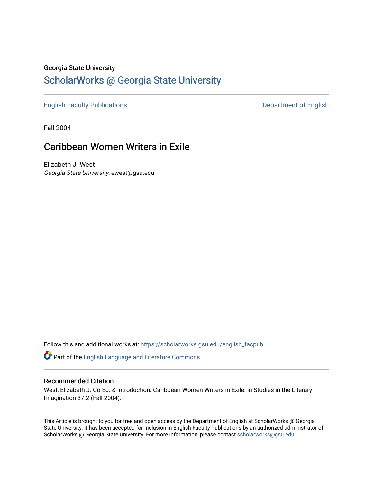### Georgia State University

# [ScholarWorks @ Georgia State University](https://scholarworks.gsu.edu/)

[English Faculty Publications](https://scholarworks.gsu.edu/english_facpub) **Department of English** 

Fall 2004

# Caribbean Women Writers in Exile

Elizabeth J. West Georgia State University, ewest@gsu.edu

Follow this and additional works at: [https://scholarworks.gsu.edu/english\\_facpub](https://scholarworks.gsu.edu/english_facpub?utm_source=scholarworks.gsu.edu%2Fenglish_facpub%2F33&utm_medium=PDF&utm_campaign=PDFCoverPages)

Part of the [English Language and Literature Commons](http://network.bepress.com/hgg/discipline/455?utm_source=scholarworks.gsu.edu%2Fenglish_facpub%2F33&utm_medium=PDF&utm_campaign=PDFCoverPages)

#### Recommended Citation

West, Elizabeth J. Co-Ed. & Introduction. Caribbean Women Writers in Exile. in Studies in the Literary Imagination 37.2 (Fall 2004).

This Article is brought to you for free and open access by the Department of English at ScholarWorks @ Georgia State University. It has been accepted for inclusion in English Faculty Publications by an authorized administrator of ScholarWorks @ Georgia State University. For more information, please contact [scholarworks@gsu.edu](mailto:scholarworks@gsu.edu).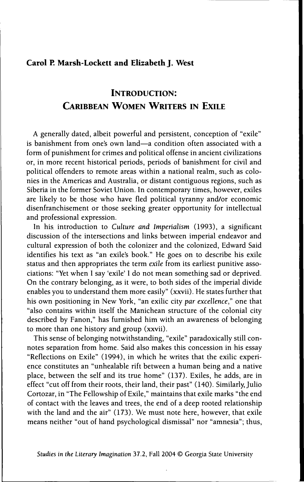#### **Carol P. Marsh-Lockett and Elizabeth J. West**

### **INTRODUCTION: CARIBBEAN WOMEN WRITERS IN EXILE**

A generally dated, albeit powerful and persistent, conception of "exile" is banishment from one's own land-a condition often associated with a form of punishment for crimes and political offense in ancient civilizations or, in more recent historical periods, periods of banishment for civil and political offenders to remote areas within a national realm, such as colonies in the Americas and Australia, or distant contiguous regions, such as Siberia in the former Soviet Union. In contemporary times, however, exiles are likely to be those who have fled political tyranny and/or economic disenfranchisement or those seeking greater opportunity for intellectual and professional expression.

In his. introduction to *Culture and Imperialism* (1993), a significant discussion of the intersections and links between imperial endeavor and cultural expression of both the colonizer and the colonized, Edward Said identifies his text as "an exile's book." He goes on to describe his exile status and then appropriates the term *exile* from its earliest punitive associations: "Yet when I say 'exile' I do not mean something sad or deprived. On the contrary belonging, as it were, to both sides of the imperial divide enables you to understand them more easily" (xxvii). He states further that his own positioning in New York, "an exilic city *par excellence,"* one that "also contains within itself the Manichean structure of the colonial city described by Fanon," has furnished him with an awareness of belonging to more than one history and group (xxvii).

This sense of belonging notwithstanding, "exile" paradoxically still connotes separation from home. Said also makes this concession in his essay "Reflections on Exile" (1994), in which he writes that the exilic experience constitutes an "unhealable rift between a human being and a native place, between the self and its true home" (137). Exiles, he adds, are in effect "cut off from their roots, their land, their past" (140). Similarly, Julio Cortozar, in 'The Fellowship of Exile," maintains that exile marks "the end of contact with the leaves and trees, the end of a deep rooted relationship with the land and the air" (173). We must note here, however, that exile means neither "out of hand psychological dismissal" nor "amnesia"; thus,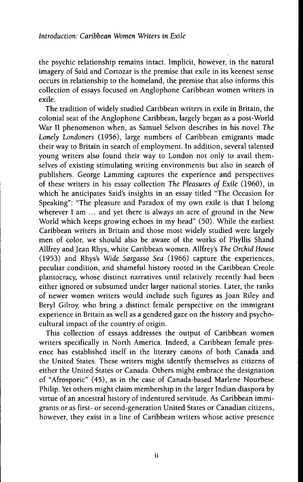the psychic relationship remains intact. Implicit, however, in the natural imagery of Said and Cortozar is the premise that exile in its keenest sense occurs in relationship to the homeland, the premise that also informs this collection of essays focused on Anglophone Carihbean women writers in exile.

The tradition of widely studied Caribbean writers in exile in Britain, the colonial seat of the Anglophone Caribbean, largely began as a post-World War 11 phenomenon when, as Samuel Selvon describes in his novel *The Lonely Londoners* (1956), large numbers of Caribbean emigrants made their way to Britain in search of employment. In addition, several talented young writers also found their way to London not only to avail themselves of existing stimulating writing environments but also in search of publishers, George Lamming captures the experience and perspectives of these writers in his essay collection *The Pleasures of Exile* (1960), in which he anticipates Said's insights in an essay titled "The Occasion for Speaking": "The pleasure and Paradox of my own exile is that 1 belong wherever I am  $\ldots$  and yet there is always an acre of ground in the New World which keeps growing echoes in my head" (50), While the earliest Caribbean writers in Britain and those most widely studied were largely men of color, we should also be aware of the works of Phyllis Shand Allfrey and Jean Rhys, white Caribbean women, Allfrey's *The Orchid House* (1953) and Rhys's *Wide Sargasso Sea* (1966) capture the experiences, peculiar condition, and shameful history rooted in the Caribbean Creole plantocracy, whose distinct narratives until relatively recently had been either ignored or subsumed under larger national stories. Later, the ranks of newer women writers would include such figures as Joan Riley and Beryl Gilroy, who bring a distinct female perspective on the immigrant experience in Britain as well as a gendered gaze on the history and psychocultural impact of the country of origin.

This collection of essays addresses the output of Caribbean women writers specifically in North America, Indeed, a Caribbean female presence has established itself in the literary canons of both Canada and the United States, These writers might identify themselves as citizens of either the United States or Canada, Others might embrace the designation of "Afrosporic" (45), as in the case of Canada-based Marlene Nourbese Philip, Yet others might claim membership in the larger Indian diaspora by virtue of an ancestral history of indentured servitude. As Caribbean immigrants or as first- or second-generation United States or Canadian citizens, however, they exist in a line of Caribbean writers whose active presence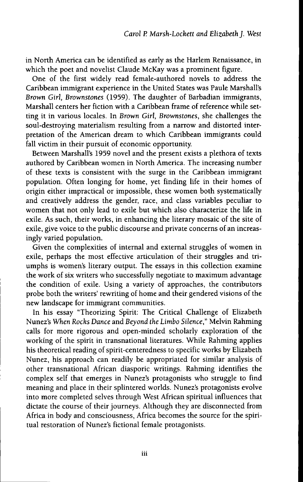in North America can be identified as early as the Harlem Renaissance, in which the poet and novelist Claude McKay was a prominent figure.

One of the first widely read female-authored novels to address the Caribbean immigrant experience in the United States was Paule Marshall's *Brown Girl, Brownstones* (1959). The daughter of Barbadian immigrants, Marshall centers her fiction with a Caribbean frame of reference while setting it in various locales. In *Brown Girl, Brownstones,* she challenges the soul-destroying materialism resulting from a narrow and distorted interpretation of the American dream to which Caribbean immigrants could fall victim in their pursuit of economic opportunity.

Between Marshall's 1959 novel and the present exists a plethora of texts authored by Caribbean women in North America. The increasing number of these texts is consistent with the surge in the Caribbean immigrant population. Often longing for home, yet finding life in their homes of origin either impractical or impossible, these women both systematically and creatively address the gender, race, and class variables peculiar to women that not only lead to exile but which also characterize the life in exile. As such, their works, in enhancing the literary mosaic of the site of exile, give voice to the public discourse and private concerns of an increasingly varied population.

Given the complexities of internal and external struggles of women in exile, perhaps the most effective articulation of their struggles and triumphs is women's literary output. The essays in this collection examine the work of six writers who successfully negotiate to maximum advantage the condition of exile. Using a variety of approaches, the contributors probe both the writers' rewriting of home and their gendered visions of the new landscape for immigrant communities.

In his essay "Theorizing Spirit: The Critical Challenge of Elizabeth Nunez's *When Rocks Dance* and *Beyond the Limho* Silence," Melvin Rahming calls for more rigorous and open-minded scholarly exploration of the working of the spirit in transnational literatures. While Rahming applies his theoretical reading of spirit-centeredness to specific works by Elizabeth Nunez, his approach can readily be appropriated for similar analysis of other transnational African diasporic writings. Rahming identifies the complex self that emerges in Nunez's protagonists who struggle to find meaning and place in their splintered worlds. Nunez's protagonists evolve into more completed selves through West African spiritual influences that dictate the course of their journeys. Although they are disconnected from Africa in body and consciousness, Africa becomes the source for the spiritual restoration of Nunez's fictional female protagonists.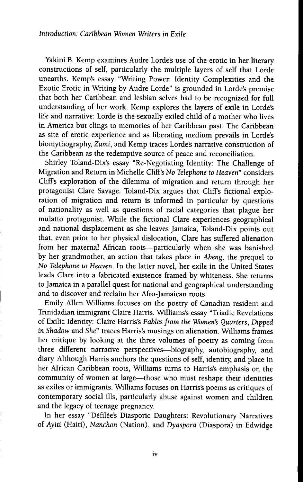Yakini B, Kemp examines Audre Lorde's use of the erotic in her literary constructions of self, particularly the multiple layers of self that Lorde unearths, Kemp's essay "Writing Power: Identity Complexities and the Exotic Erotic in Writing by Audre Lorde" is grounded in Lorde's premise that both her Caribbean and lesbian selves had to be recognized for full understanding of her work, Kemp explores the layers of exile in Lorde's life and narrative: Lorde is the sexually exiled child of a mother who lives in America but clings to memories of her Caribbean past. The Caribbean as site of erotic experience and as liberating medium prevails in Lorde's biomythography, *Zami,* and Kemp traces Lorde's narrative construction of the Caribbean as the redemptive source of peace and reconciliation.

Shirley Toland-Dix's essay "Re-Negotiating Identity: The Challenge of Migration and Return in Michelle Cliff's *No Telephone to Heaven"* considers Cliff's exploration of the dilemma of migration and return through her protagonist Clare Savage. Toland-Dix argues that Cliff's fictional exploration of migration and return is informed in particular by questions of nationality as well as questions of racial categories that plague her mulatto protagonist. While the fictional Clare experiences geographical and national displacement as she leaves Jamaica, Toland-Dix points out that, even prior to her physical dislocation, Clare has suffered alienation from her maternal African roots—particularly when she was banished by her grandmother, an action that takes place in *Abeng,* the prequel to *No Telephone to Heaven.* In the latter novel, her exile in the United States leads Clare into a fabricated existence framed by whiteness. She returns to Jamaica in a parallel quest for national and geographical understanding and to discover and reclaim her Afro-Jamaican roots.

Emily Allen Williams focuses on the poetry of Canadian resident and Trinidadian immigrant Claire Harris, Williams's essay "Triadic Revelations of Exilic Identity: Claire Harris's *Fables from the Women's Quarters, Dipped in Shadow* and She" traces Harris's musings on alienation. Williams frames her critique by looking at the three volumes of poetry as coming from three different narrative perspectives—biography, autobiography, and diary Although Harris anchors the questions of self, identity, and place in her African Caribbean roots, Williams turns to Harris's emphasis on the community of women at large—those who must reshape their identities as exiles or immigrants. Williams focuses on Harris's poems as critiques of contemporary social ills, particularly abuse against women and children and the legacy of teenage pregnancy.

In her essay "Defilee's Diasporic Daughters: Revolutionary Narratives *oi Ayiti* (Haiti), *Nanchon* (Nation), and *Dyaspora* (Diaspora) in Edwidge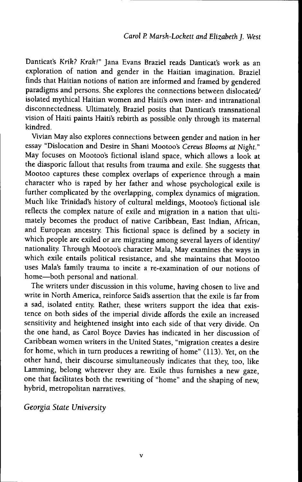Danticat's *Krik? Krak!"* Jana Evans Braziel reads Danticat's work as an exploration of nation and gender in the Haitian imagination. Braziel finds that Haitian notions of nation are informed and framed by gendered paradigms and persons. She explores the connections between dislocated/ isolated mythical Haitian women and Haiti's own inter- and intranational disconnectedness. Ultimately, Braziel posits that Danticat's transnational vision of Haiti paints Haiti's rebirth as possible only through its maternal kindred.

Vivian May also explores connections between gender and nation in her essay "Dislocation and Desire in Shani Mootoo's *Cereus Blooms at Night."* May focuses on Mootoo's fictional island space, which allows a look at the diasporic fallout that results from trauma and exile. She suggests that Mootoo captures these complex overlaps of experience through a main character who is raped by her father and whose psychological exile is further complicated by the overlapping, complex dynamics of migration. Much like Trinidad's history of cultural meldings, Mootoo's fictional isle reflects the complex nature of exile and migration in a nation that ultimately becomes the product of native Caribbean, East Indian, African, and European ancestry. This fictional space is defined by a society in which people are exiled or are migrating among several layers of identity/ nationality. Through Mootoo's character Mala, May examines the ways in which exile entails political resistance, and she maintains that Mootoo uses Mala's family trauma to incite a re-examination of our notions of home—both personal and national.

The writers under discussion in this volume, having chosen to live and write in North America, reinforce Said's assertion that the exile is far from a sad, isolated entity. Rather, these writers support the idea that existence on both sides of the imperial divide affords the exile an increased sensitivity and heightened insight into each side of that very divide. On the one hand, as Carol Boyce Davies has indicated in her discussion of Caribbean women writers in the United States, "migration creates a desire for home, which in turn produces a rewriting of home" (113). Yet, on the other hand, their discourse simultaneously indicates that they, too, like Lamming, belong wherever they are. Exile thus furnishes a new gaze, one that facilitates both the rewriting of "home" and the shaping of new, hybrid, metropolitan narratives.

*Georgia State University*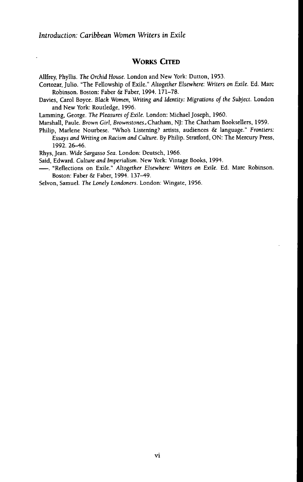*Introduction: Caribbean Women Writers* in Exile

#### **WORKS CITED**

AUfrey, Phyllis. *The Orchid House.* London and New York: Dutton, 1953.

- Cortozar, Julio, "The Fellowship of Exile." *Altogether Elsewhere: Writers on Exile.* Ed. Marc Robinson, Boston: Faber & Faber, 1994. 171-78.
- Davies, Carol Boyce, *Black Women,* Writing *and Identity:* Migrations *of the Subject.* London and New York: Routledge, 1996,

Lamming, George. *The Pleasures of Exile.* London: Michael Joseph, 1960.

Marshall, Paule. Brown Girl, Brownstones. Chatham, NJ: The Chatham Booksellers, 1959.

Philip, Marlene Nourbese. "Who's Listening? artists, audiences & language," *Frontiers: Essays and Writing on Racism and Culture.* By Philip, Stratford, ON: The Mercury Press, 1992. 26-46.

Rhys, Jean. *Wide Sargasso Sea.* London: Deutsch, 1966.

Said, Edward. *Culture and Imperialism.* New York: Vintage Books, 1994.

, "Reflections on Exile." *Altogether Elsewhere: Writers on Exile.* Ed. Marc Robinson. Boston: Faber & Faber, 1994. 137-49.

Selvon, Samuel. *The Lonely Londoners.* London: Wingate, 1956.